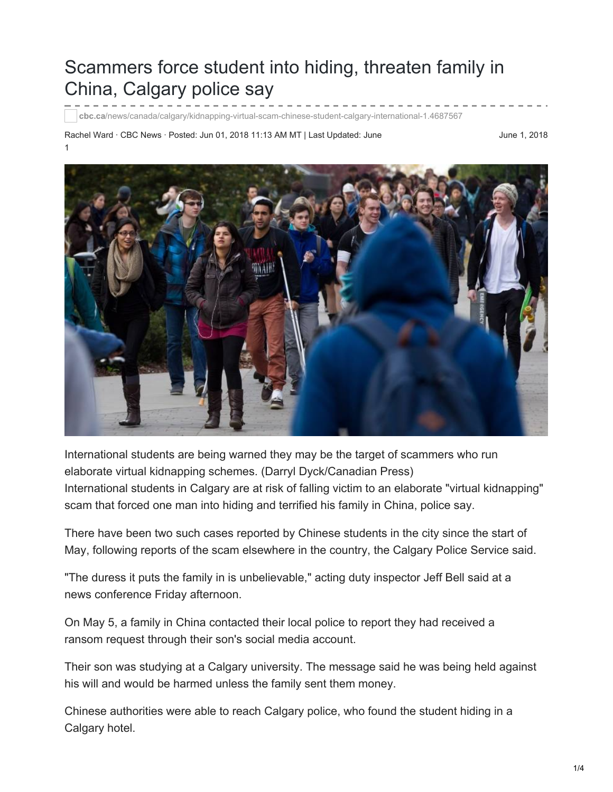# Scammers force student into hiding, threaten family in China, Calgary police say

**cbc.ca**[/news/canada/calgary/kidnapping-virtual-scam-chinese-student-calgary-international-1.4687567](http://www.cbc.ca/news/canada/calgary/kidnapping-virtual-scam-chinese-student-calgary-international-1.4687567?cmp=rss&utm_source=Academica+Top+Ten&utm_campaign=ac43c0b308-EMAIL_CAMPAIGN_2018_06_04_04_07&utm_medium=email&utm_term=0_b4928536cf-ac43c0b308-47774737)

Rachel Ward · CBC News · Posted: Jun 01, 2018 11:13 AM MT | Last Updated: June 1

June 1, 2018



International students are being warned they may be the target of scammers who run elaborate virtual kidnapping schemes. (Darryl Dyck/Canadian Press) International students in Calgary are at risk of falling victim to an elaborate "virtual kidnapping" scam that forced one man into hiding and terrified his family in China, police say.

There have been two such cases reported by Chinese students in the city since the start of May, following reports of the scam elsewhere in the country, the Calgary Police Service said.

"The duress it puts the family in is unbelievable," acting duty inspector Jeff Bell said at a news conference Friday afternoon.

On May 5, a family in China contacted their local police to report they had received a ransom request through their son's social media account.

Their son was studying at a Calgary university. The message said he was being held against his will and would be harmed unless the family sent them money.

Chinese authorities were able to reach Calgary police, who found the student hiding in a Calgary hotel.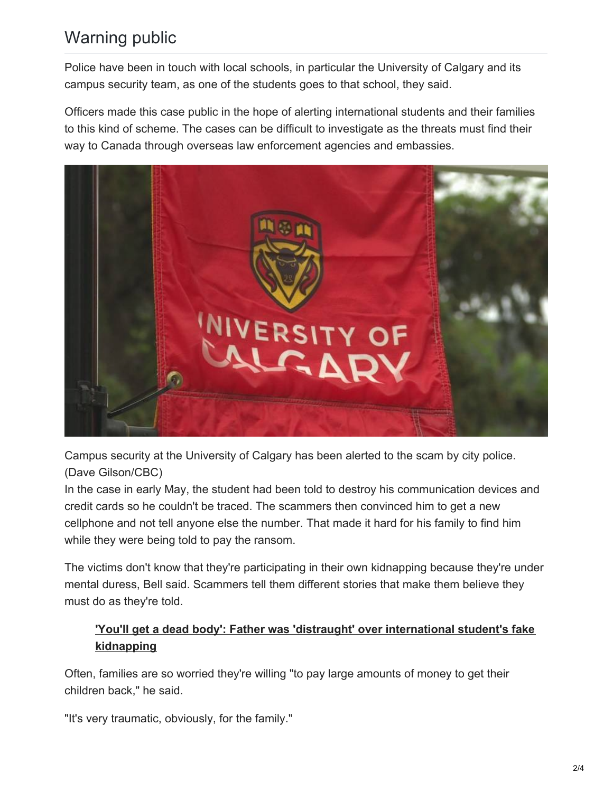## Warning public

Police have been in touch with local schools, in particular the University of Calgary and its campus security team, as one of the students goes to that school, they said.

Officers made this case public in the hope of alerting international students and their families to this kind of scheme. The cases can be difficult to investigate as the threats must find their way to Canada through overseas law enforcement agencies and embassies.



Campus security at the University of Calgary has been alerted to the scam by city police. (Dave Gilson/CBC)

In the case in early May, the student had been told to destroy his communication devices and credit cards so he couldn't be traced. The scammers then convinced him to get a new cellphone and not tell anyone else the number. That made it hard for his family to find him while they were being told to pay the ransom.

The victims don't know that they're participating in their own kidnapping because they're under mental duress, Bell said. Scammers tell them different stories that make them believe they must do as they're told.

### **'You'll get a dead body': Father was 'distraught' over [international](http://www.cbc.ca/news/canada/toronto/chinese-visa-students-kidnapping-scam-1.4525603) student's fake kidnapping**

Often, families are so worried they're willing "to pay large amounts of money to get their children back," he said.

"It's very traumatic, obviously, for the family."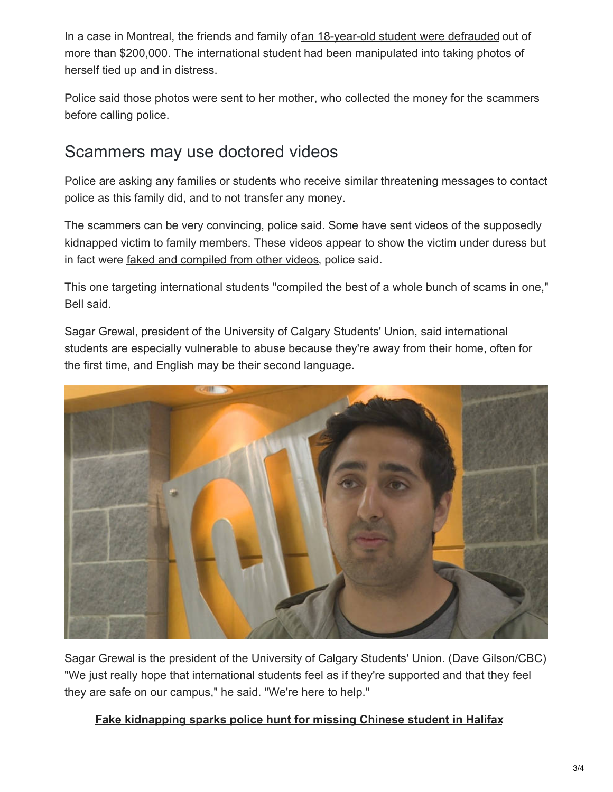In a case in Montreal, the friends and family of an [18-year-old](http://www.cbc.ca/news/canada/toronto/virtual-kidnapping-durham-police-montreal-student-oshawa-mother-1.4670680) student were defrauded out of more than \$200,000. The international student had been manipulated into taking photos of herself tied up and in distress.

Police said those photos were sent to her mother, who collected the money for the scammers before calling police.

## Scammers may use doctored videos

Police are asking any families or students who receive similar threatening messages to contact police as this family did, and to not transfer any money.

The scammers can be very convincing, police said. Some have sent videos of the supposedly kidnapped victim to family members. These videos appear to show the victim under duress but in fact were faked and [compiled](http://www.cbc.ca/news/canada/nova-scotia/virtual-kidnappers-fake-video-scam-extort-money-overseas-family-1.4669809) from other videos, police said.

This one targeting international students "compiled the best of a whole bunch of scams in one," Bell said.

Sagar Grewal, president of the University of Calgary Students' Union, said international students are especially vulnerable to abuse because they're away from their home, often for the first time, and English may be their second language.



Sagar Grewal is the president of the University of Calgary Students' Union. (Dave Gilson/CBC) "We just really hope that international students feel as if they're supported and that they feel they are safe on our campus," he said. "We're here to help."

#### **Fake [kidnapping](http://www.cbc.ca/news/canada/nova-scotia/virtual-kidnappers-fake-video-scam-extort-money-overseas-family-1.4669809) sparks police hunt for missing Chinese student in Halifax**